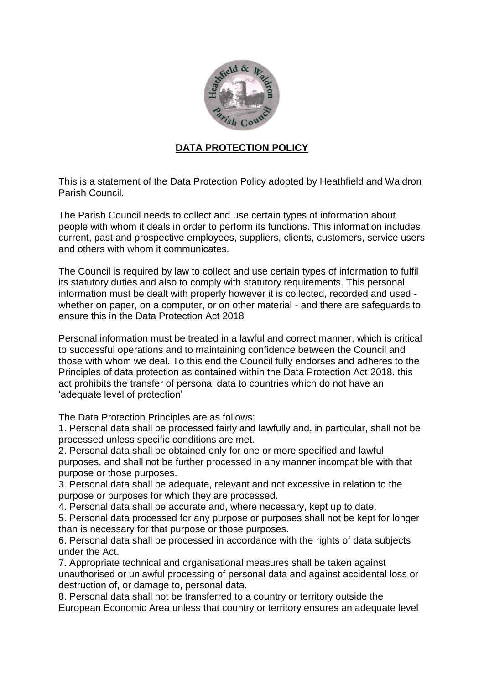

## **DATA PROTECTION POLICY**

This is a statement of the Data Protection Policy adopted by Heathfield and Waldron Parish Council.

The Parish Council needs to collect and use certain types of information about people with whom it deals in order to perform its functions. This information includes current, past and prospective employees, suppliers, clients, customers, service users and others with whom it communicates.

The Council is required by law to collect and use certain types of information to fulfil its statutory duties and also to comply with statutory requirements. This personal information must be dealt with properly however it is collected, recorded and used whether on paper, on a computer, or on other material - and there are safeguards to ensure this in the Data Protection Act 2018

Personal information must be treated in a lawful and correct manner, which is critical to successful operations and to maintaining confidence between the Council and those with whom we deal. To this end the Council fully endorses and adheres to the Principles of data protection as contained within the Data Protection Act 2018. this act prohibits the transfer of personal data to countries which do not have an 'adequate level of protection'

The Data Protection Principles are as follows:

1. Personal data shall be processed fairly and lawfully and, in particular, shall not be processed unless specific conditions are met.

2. Personal data shall be obtained only for one or more specified and lawful purposes, and shall not be further processed in any manner incompatible with that purpose or those purposes.

3. Personal data shall be adequate, relevant and not excessive in relation to the purpose or purposes for which they are processed.

4. Personal data shall be accurate and, where necessary, kept up to date.

5. Personal data processed for any purpose or purposes shall not be kept for longer than is necessary for that purpose or those purposes.

6. Personal data shall be processed in accordance with the rights of data subjects under the Act.

7. Appropriate technical and organisational measures shall be taken against unauthorised or unlawful processing of personal data and against accidental loss or destruction of, or damage to, personal data.

8. Personal data shall not be transferred to a country or territory outside the European Economic Area unless that country or territory ensures an adequate level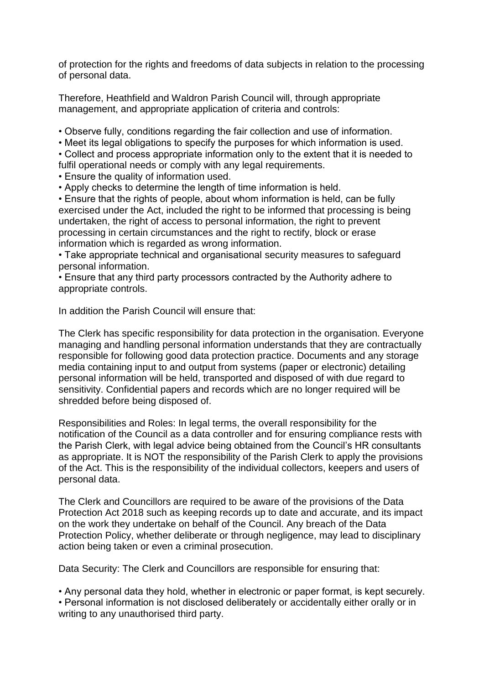of protection for the rights and freedoms of data subjects in relation to the processing of personal data.

Therefore, Heathfield and Waldron Parish Council will, through appropriate management, and appropriate application of criteria and controls:

• Observe fully, conditions regarding the fair collection and use of information.

• Meet its legal obligations to specify the purposes for which information is used.

• Collect and process appropriate information only to the extent that it is needed to fulfil operational needs or comply with any legal requirements.

• Ensure the quality of information used.

• Apply checks to determine the length of time information is held.

• Ensure that the rights of people, about whom information is held, can be fully exercised under the Act, included the right to be informed that processing is being undertaken, the right of access to personal information, the right to prevent processing in certain circumstances and the right to rectify, block or erase information which is regarded as wrong information.

• Take appropriate technical and organisational security measures to safeguard personal information.

• Ensure that any third party processors contracted by the Authority adhere to appropriate controls.

In addition the Parish Council will ensure that:

The Clerk has specific responsibility for data protection in the organisation. Everyone managing and handling personal information understands that they are contractually responsible for following good data protection practice. Documents and any storage media containing input to and output from systems (paper or electronic) detailing personal information will be held, transported and disposed of with due regard to sensitivity. Confidential papers and records which are no longer required will be shredded before being disposed of.

Responsibilities and Roles: In legal terms, the overall responsibility for the notification of the Council as a data controller and for ensuring compliance rests with the Parish Clerk, with legal advice being obtained from the Council's HR consultants as appropriate. It is NOT the responsibility of the Parish Clerk to apply the provisions of the Act. This is the responsibility of the individual collectors, keepers and users of personal data.

The Clerk and Councillors are required to be aware of the provisions of the Data Protection Act 2018 such as keeping records up to date and accurate, and its impact on the work they undertake on behalf of the Council. Any breach of the Data Protection Policy, whether deliberate or through negligence, may lead to disciplinary action being taken or even a criminal prosecution.

Data Security: The Clerk and Councillors are responsible for ensuring that:

• Any personal data they hold, whether in electronic or paper format, is kept securely.

• Personal information is not disclosed deliberately or accidentally either orally or in writing to any unauthorised third party.